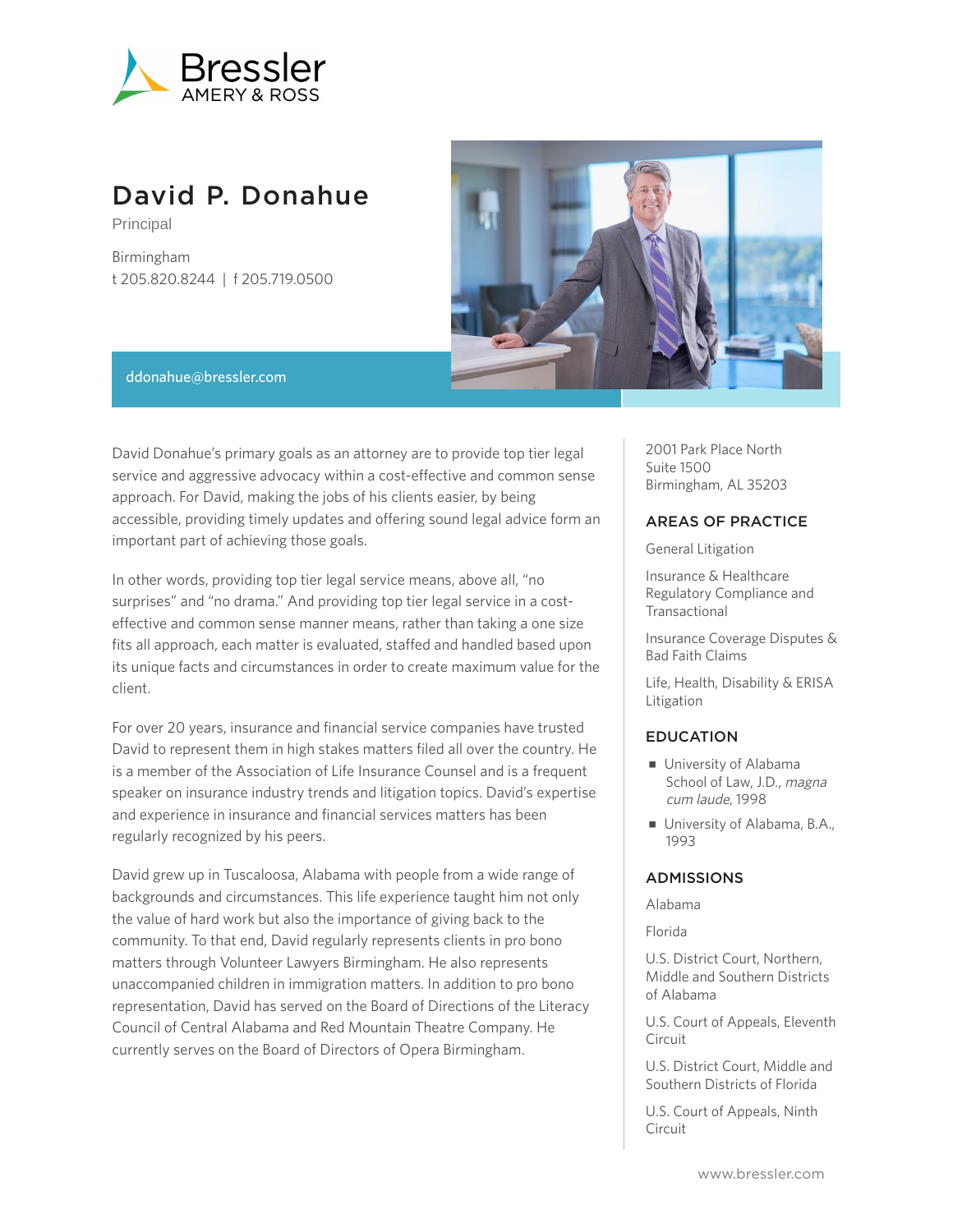

# David P. Donahue

Principal

Birmingham t 205.820.8244 | f 205.719.0500



#### ddonahue@bressler.com

David Donahue's primary goals as an attorney are to provide top tier legal service and aggressive advocacy within a cost-effective and common sense approach. For David, making the jobs of his clients easier, by being accessible, providing timely updates and offering sound legal advice form an important part of achieving those goals.

In other words, providing top tier legal service means, above all, "no surprises" and "no drama." And providing top tier legal service in a costeffective and common sense manner means, rather than taking a one size fits all approach, each matter is evaluated, staffed and handled based upon its unique facts and circumstances in order to create maximum value for the client.

For over 20 years, insurance and financial service companies have trusted David to represent them in high stakes matters filed all over the country. He is a member of the Association of Life Insurance Counsel and is a frequent speaker on insurance industry trends and litigation topics. David's expertise and experience in insurance and financial services matters has been regularly recognized by his peers.

David grew up in Tuscaloosa, Alabama with people from a wide range of backgrounds and circumstances. This life experience taught him not only the value of hard work but also the importance of giving back to the community. To that end, David regularly represents clients in pro bono matters through Volunteer Lawyers Birmingham. He also represents unaccompanied children in immigration matters. In addition to pro bono representation, David has served on the Board of Directions of the Literacy Council of Central Alabama and Red Mountain Theatre Company. He currently serves on the Board of Directors of Opera Birmingham.

2001 Park Place North Suite 1500 Birmingham, AL 35203

## AREAS OF PRACTICE

General Litigation

Insurance & Healthcare Regulatory Compliance and Transactional

Insurance Coverage Disputes & Bad Faith Claims

Life, Health, Disability & ERISA Litigation

## EDUCATION

- University of Alabama School of Law, J.D., magna cum laude, 1998
- University of Alabama, B.A., 1993

### ADMISSIONS

Alabama

Florida

U.S. District Court, Northern, Middle and Southern Districts of Alabama

U.S. Court of Appeals, Eleventh Circuit

U.S. District Court, Middle and Southern Districts of Florida

U.S. Court of Appeals, Ninth Circuit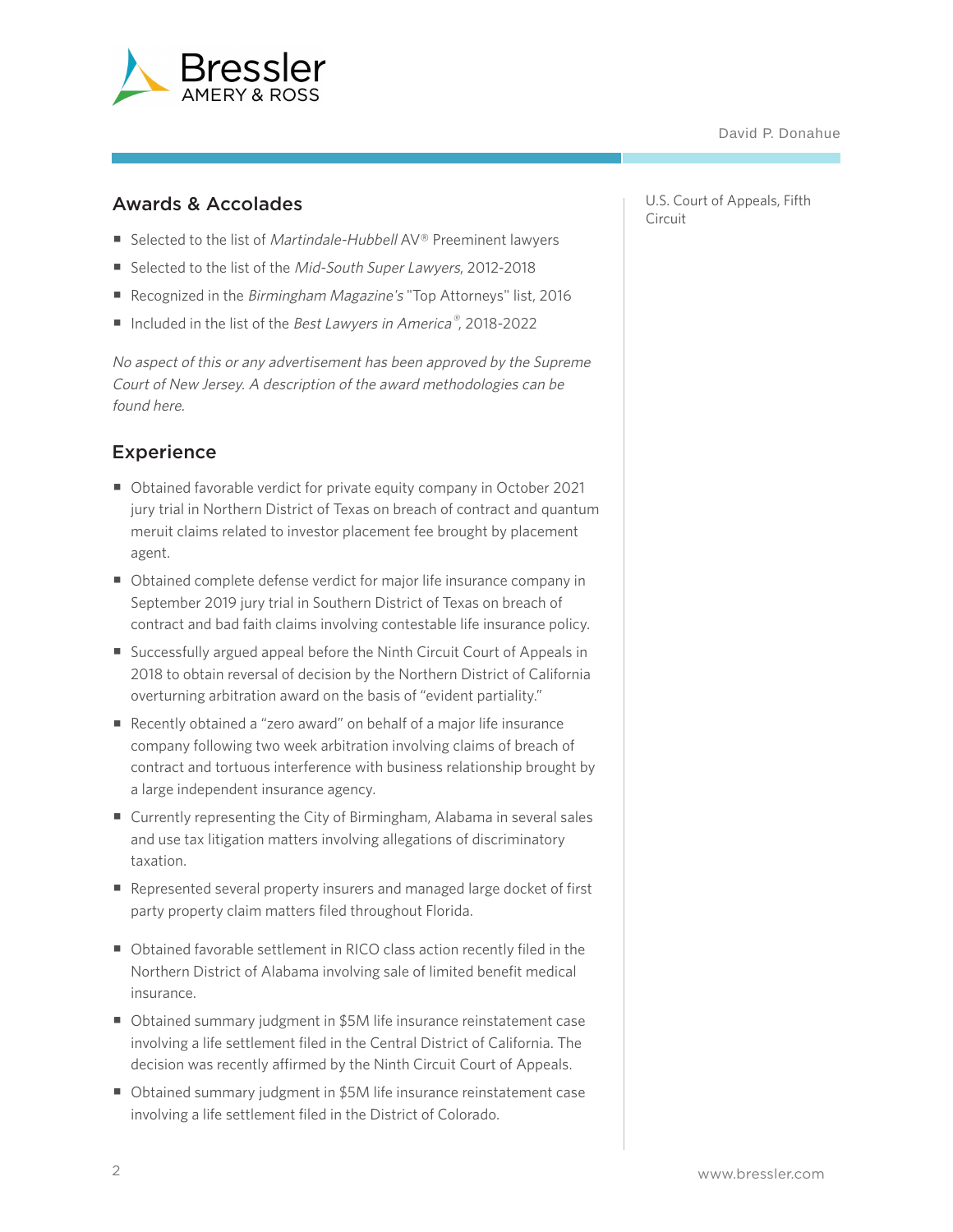

## Awards & Accolades

- Selected to the list of Martindale-Hubbell AV® Preeminent lawyers
- Selected to the list of the Mid-South Super Lawyers, 2012-2018
- Recognized in the Birmingham Magazine's "Top Attorneys" list, 2016
- Included in the list of the Best Lawyers in America®, 2018-2022

No aspect of this or any advertisement has been approved by the Supreme Court of New Jersey. A description of the award methodologies can be found here.

## Experience

- Obtained favorable verdict for private equity company in October 2021 jury trial in Northern District of Texas on breach of contract and quantum meruit claims related to investor placement fee brought by placement agent.
- Obtained complete defense verdict for major life insurance company in September 2019 jury trial in Southern District of Texas on breach of contract and bad faith claims involving contestable life insurance policy.
- Successfully argued appeal before the Ninth Circuit Court of Appeals in 2018 to obtain reversal of decision by the Northern District of California overturning arbitration award on the basis of "evident partiality."
- Recently obtained a "zero award" on behalf of a major life insurance company following two week arbitration involving claims of breach of contract and tortuous interference with business relationship brought by a large independent insurance agency.
- Currently representing the City of Birmingham, Alabama in several sales and use tax litigation matters involving allegations of discriminatory taxation.
- Represented several property insurers and managed large docket of first party property claim matters filed throughout Florida.
- Obtained favorable settlement in RICO class action recently filed in the Northern District of Alabama involving sale of limited benefit medical insurance.
- Obtained summary judgment in \$5M life insurance reinstatement case involving a life settlement filed in the Central District of California. The decision was recently affirmed by the Ninth Circuit Court of Appeals.
- Obtained summary judgment in \$5M life insurance reinstatement case involving a life settlement filed in the District of Colorado.

U.S. Court of Appeals, Fifth Circuit